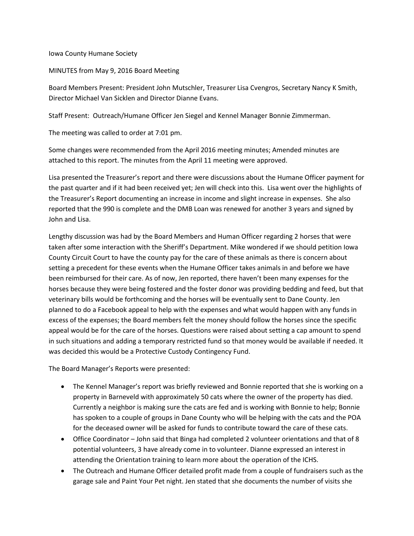## Iowa County Humane Society

## MINUTES from May 9, 2016 Board Meeting

Board Members Present: President John Mutschler, Treasurer Lisa Cvengros, Secretary Nancy K Smith, Director Michael Van Sicklen and Director Dianne Evans.

Staff Present: Outreach/Humane Officer Jen Siegel and Kennel Manager Bonnie Zimmerman.

The meeting was called to order at 7:01 pm.

Some changes were recommended from the April 2016 meeting minutes; Amended minutes are attached to this report. The minutes from the April 11 meeting were approved.

Lisa presented the Treasurer's report and there were discussions about the Humane Officer payment for the past quarter and if it had been received yet; Jen will check into this. Lisa went over the highlights of the Treasurer's Report documenting an increase in income and slight increase in expenses. She also reported that the 990 is complete and the DMB Loan was renewed for another 3 years and signed by John and Lisa.

Lengthy discussion was had by the Board Members and Human Officer regarding 2 horses that were taken after some interaction with the Sheriff's Department. Mike wondered if we should petition Iowa County Circuit Court to have the county pay for the care of these animals as there is concern about setting a precedent for these events when the Humane Officer takes animals in and before we have been reimbursed for their care. As of now, Jen reported, there haven't been many expenses for the horses because they were being fostered and the foster donor was providing bedding and feed, but that veterinary bills would be forthcoming and the horses will be eventually sent to Dane County. Jen planned to do a Facebook appeal to help with the expenses and what would happen with any funds in excess of the expenses; the Board members felt the money should follow the horses since the specific appeal would be for the care of the horses. Questions were raised about setting a cap amount to spend in such situations and adding a temporary restricted fund so that money would be available if needed. It was decided this would be a Protective Custody Contingency Fund.

The Board Manager's Reports were presented:

- The Kennel Manager's report was briefly reviewed and Bonnie reported that she is working on a property in Barneveld with approximately 50 cats where the owner of the property has died. Currently a neighbor is making sure the cats are fed and is working with Bonnie to help; Bonnie has spoken to a couple of groups in Dane County who will be helping with the cats and the POA for the deceased owner will be asked for funds to contribute toward the care of these cats.
- Office Coordinator John said that Binga had completed 2 volunteer orientations and that of 8 potential volunteers, 3 have already come in to volunteer. Dianne expressed an interest in attending the Orientation training to learn more about the operation of the ICHS.
- The Outreach and Humane Officer detailed profit made from a couple of fundraisers such as the garage sale and Paint Your Pet night. Jen stated that she documents the number of visits she